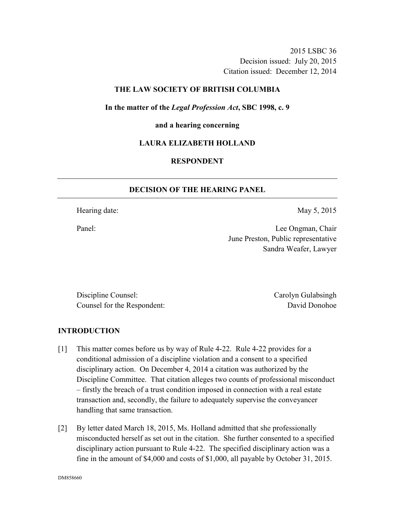2015 LSBC 36 Decision issued: July 20, 2015 Citation issued: December 12, 2014

### **THE LAW SOCIETY OF BRITISH COLUMBIA**

**In the matter of the** *Legal Profession Act***, SBC 1998, c. 9** 

# **and a hearing concerning**

#### **LAURA ELIZABETH HOLLAND**

# **RESPONDENT**

#### **DECISION OF THE HEARING PANEL**

Hearing date: May 5, 2015

Panel: Lee Ongman, Chair June Preston, Public representative Sandra Weafer, Lawyer

Discipline Counsel: Carolyn Gulabsingh Counsel for the Respondent: David Donohoe

#### **INTRODUCTION**

- [1] This matter comes before us by way of Rule 4-22. Rule 4-22 provides for a conditional admission of a discipline violation and a consent to a specified disciplinary action. On December 4, 2014 a citation was authorized by the Discipline Committee. That citation alleges two counts of professional misconduct – firstly the breach of a trust condition imposed in connection with a real estate transaction and, secondly, the failure to adequately supervise the conveyancer handling that same transaction.
- [2] By letter dated March 18, 2015, Ms. Holland admitted that she professionally misconducted herself as set out in the citation. She further consented to a specified disciplinary action pursuant to Rule 4-22. The specified disciplinary action was a fine in the amount of \$4,000 and costs of \$1,000, all payable by October 31, 2015.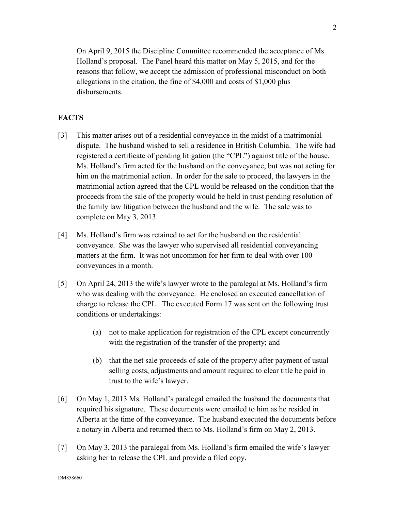On April 9, 2015 the Discipline Committee recommended the acceptance of Ms. Holland's proposal. The Panel heard this matter on May 5, 2015, and for the reasons that follow, we accept the admission of professional misconduct on both allegations in the citation, the fine of \$4,000 and costs of \$1,000 plus disbursements.

# **FACTS**

- [3] This matter arises out of a residential conveyance in the midst of a matrimonial dispute. The husband wished to sell a residence in British Columbia. The wife had registered a certificate of pending litigation (the "CPL") against title of the house. Ms. Holland's firm acted for the husband on the conveyance, but was not acting for him on the matrimonial action. In order for the sale to proceed, the lawyers in the matrimonial action agreed that the CPL would be released on the condition that the proceeds from the sale of the property would be held in trust pending resolution of the family law litigation between the husband and the wife. The sale was to complete on May 3, 2013.
- [4] Ms. Holland's firm was retained to act for the husband on the residential conveyance. She was the lawyer who supervised all residential conveyancing matters at the firm. It was not uncommon for her firm to deal with over 100 conveyances in a month.
- [5] On April 24, 2013 the wife's lawyer wrote to the paralegal at Ms. Holland's firm who was dealing with the conveyance. He enclosed an executed cancellation of charge to release the CPL. The executed Form 17 was sent on the following trust conditions or undertakings:
	- (a) not to make application for registration of the CPL except concurrently with the registration of the transfer of the property; and
	- (b) that the net sale proceeds of sale of the property after payment of usual selling costs, adjustments and amount required to clear title be paid in trust to the wife's lawyer.
- [6] On May 1, 2013 Ms. Holland's paralegal emailed the husband the documents that required his signature. These documents were emailed to him as he resided in Alberta at the time of the conveyance. The husband executed the documents before a notary in Alberta and returned them to Ms. Holland's firm on May 2, 2013.
- [7] On May 3, 2013 the paralegal from Ms. Holland's firm emailed the wife's lawyer asking her to release the CPL and provide a filed copy.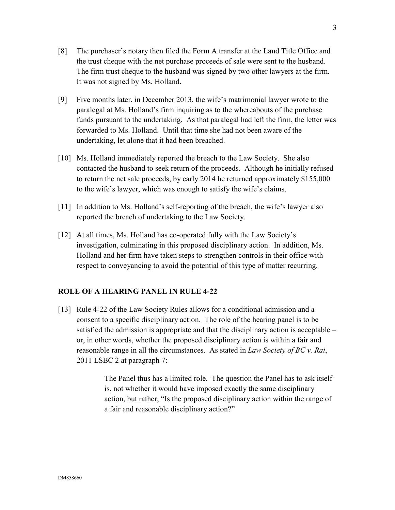- [8] The purchaser's notary then filed the Form A transfer at the Land Title Office and the trust cheque with the net purchase proceeds of sale were sent to the husband. The firm trust cheque to the husband was signed by two other lawyers at the firm. It was not signed by Ms. Holland.
- [9] Five months later, in December 2013, the wife's matrimonial lawyer wrote to the paralegal at Ms. Holland's firm inquiring as to the whereabouts of the purchase funds pursuant to the undertaking. As that paralegal had left the firm, the letter was forwarded to Ms. Holland. Until that time she had not been aware of the undertaking, let alone that it had been breached.
- [10] Ms. Holland immediately reported the breach to the Law Society. She also contacted the husband to seek return of the proceeds. Although he initially refused to return the net sale proceeds, by early 2014 he returned approximately \$155,000 to the wife's lawyer, which was enough to satisfy the wife's claims.
- [11] In addition to Ms. Holland's self-reporting of the breach, the wife's lawyer also reported the breach of undertaking to the Law Society.
- [12] At all times, Ms. Holland has co-operated fully with the Law Society's investigation, culminating in this proposed disciplinary action. In addition, Ms. Holland and her firm have taken steps to strengthen controls in their office with respect to conveyancing to avoid the potential of this type of matter recurring.

### **ROLE OF A HEARING PANEL IN RULE 4-22**

[13] Rule 4-22 of the Law Society Rules allows for a conditional admission and a consent to a specific disciplinary action. The role of the hearing panel is to be satisfied the admission is appropriate and that the disciplinary action is acceptable – or, in other words, whether the proposed disciplinary action is within a fair and reasonable range in all the circumstances. As stated in *Law Society of BC v. Rai*, 2011 LSBC 2 at paragraph 7:

> The Panel thus has a limited role. The question the Panel has to ask itself is, not whether it would have imposed exactly the same disciplinary action, but rather, "Is the proposed disciplinary action within the range of a fair and reasonable disciplinary action?"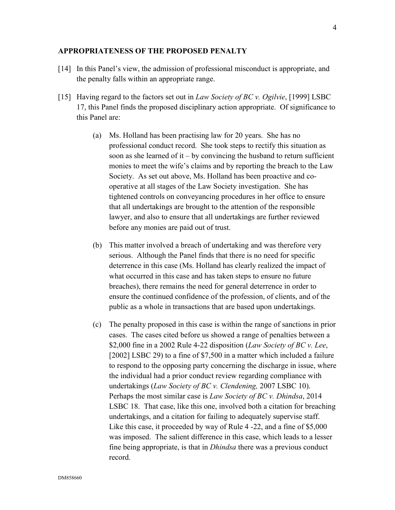#### **APPROPRIATENESS OF THE PROPOSED PENALTY**

- [14] In this Panel's view, the admission of professional misconduct is appropriate, and the penalty falls within an appropriate range.
- [15] Having regard to the factors set out in *Law Society of BC v. Ogilvie*, [1999] LSBC 17, this Panel finds the proposed disciplinary action appropriate. Of significance to this Panel are:
	- (a) Ms. Holland has been practising law for 20 years. She has no professional conduct record. She took steps to rectify this situation as soon as she learned of it – by convincing the husband to return sufficient monies to meet the wife's claims and by reporting the breach to the Law Society. As set out above, Ms. Holland has been proactive and cooperative at all stages of the Law Society investigation. She has tightened controls on conveyancing procedures in her office to ensure that all undertakings are brought to the attention of the responsible lawyer, and also to ensure that all undertakings are further reviewed before any monies are paid out of trust.
	- (b) This matter involved a breach of undertaking and was therefore very serious. Although the Panel finds that there is no need for specific deterrence in this case (Ms. Holland has clearly realized the impact of what occurred in this case and has taken steps to ensure no future breaches), there remains the need for general deterrence in order to ensure the continued confidence of the profession, of clients, and of the public as a whole in transactions that are based upon undertakings.
	- (c) The penalty proposed in this case is within the range of sanctions in prior cases. The cases cited before us showed a range of penalties between a \$2,000 fine in a 2002 Rule 4-22 disposition (*Law Society of BC v. Lee*, [2002] LSBC 29) to a fine of \$7,500 in a matter which included a failure to respond to the opposing party concerning the discharge in issue, where the individual had a prior conduct review regarding compliance with undertakings (*Law Society of BC v. Clendening,* 2007 LSBC 10). Perhaps the most similar case is *Law Society of BC v. Dhindsa*, 2014 LSBC 18. That case, like this one, involved both a citation for breaching undertakings, and a citation for failing to adequately supervise staff. Like this case, it proceeded by way of Rule 4 -22, and a fine of \$5,000 was imposed. The salient difference in this case, which leads to a lesser fine being appropriate, is that in *Dhindsa* there was a previous conduct record.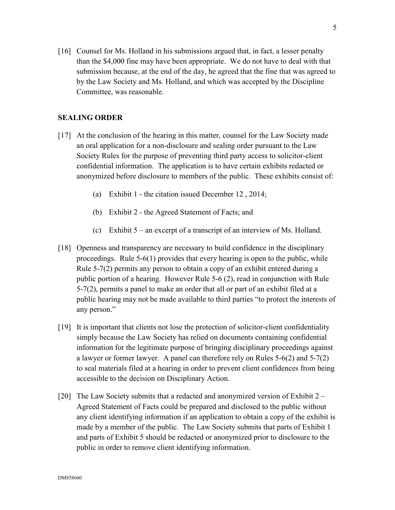[16] Counsel for Ms. Holland in his submissions argued that, in fact, a lesser penalty than the \$4,000 fine may have been appropriate. We do not have to deal with that submission because, at the end of the day, he agreed that the fine that was agreed to by the Law Society and Ms. Holland, and which was accepted by the Discipline Committee, was reasonable.

### **SEALING ORDER**

- [17] At the conclusion of the hearing in this matter, counsel for the Law Society made an oral application for a non-disclosure and sealing order pursuant to the Law Society Rules for the purpose of preventing third party access to solicitor-client confidential information. The application is to have certain exhibits redacted or anonymized before disclosure to members of the public. These exhibits consist of:
	- (a) Exhibit 1 the citation issued December 12 , 2014;
	- (b) Exhibit 2 the Agreed Statement of Facts; and
	- (c) Exhibit 5 an excerpt of a transcript of an interview of Ms. Holland.
- [18] Openness and transparency are necessary to build confidence in the disciplinary proceedings. Rule 5-6(1) provides that every hearing is open to the public, while Rule 5-7(2) permits any person to obtain a copy of an exhibit entered during a public portion of a hearing. However Rule 5-6 (2), read in conjunction with Rule 5-7(2), permits a panel to make an order that all or part of an exhibit filed at a public hearing may not be made available to third parties "to protect the interests of any person."
- [19] It is important that clients not lose the protection of solicitor-client confidentiality simply because the Law Society has relied on documents containing confidential information for the legitimate purpose of bringing disciplinary proceedings against a lawyer or former lawyer. A panel can therefore rely on Rules 5-6(2) and 5-7(2) to seal materials filed at a hearing in order to prevent client confidences from being accessible to the decision on Disciplinary Action.
- [20] The Law Society submits that a redacted and anonymized version of Exhibit 2 Agreed Statement of Facts could be prepared and disclosed to the public without any client identifying information if an application to obtain a copy of the exhibit is made by a member of the public. The Law Society submits that parts of Exhibit 1 and parts of Exhibit 5 should be redacted or anonymized prior to disclosure to the public in order to remove client identifying information.